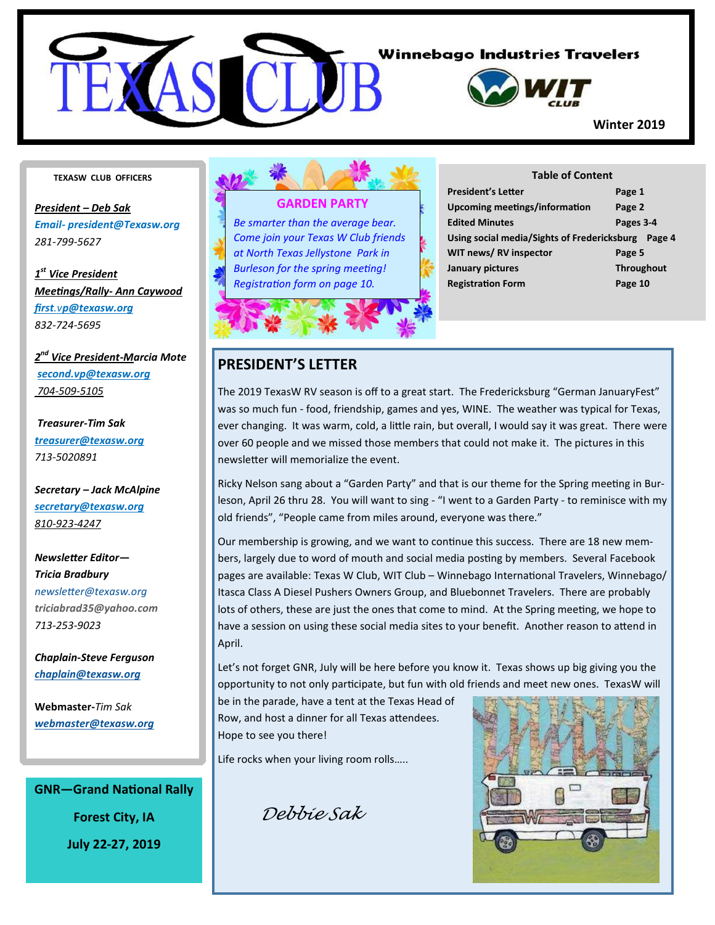

#### **TEXASW CLUB OFFICERS**

*President – Deb Sak Email- president@Texasw.org 281-799-5627* 

*1 st Vice President Mee ngs/Rally- Ann Caywood first.vp@texasw.org 832-724-5695* 

*2 nd Vice President-Marcia Mote second.vp@texasw.org 704-509-5105* 

 *Treasurer-Tim Sak treasurer@texasw.org 713-5020891* 

*Secretary – Jack McAlpine secretary@texasw.org 810-923-4247* 

 $Newsletter Editor -$ *Tricia Bradbury newsleer@texasw.org triciabrad35@yahoo.com 713-253-9023* 

*Chaplain-Steve Ferguson chaplain@texasw.org*

**Webmaster-***Tim Sak webmaster@texasw.org*

**GNR-Grand National Rally Forest City, IA July 22-27, 2019** 

#### **GARDEN PARTY**

*Be smarter than the average bear. Come join your Texas W Club friends at North Texas Jellystone Park in*  **Burleson for the spring meeting! Registration form on page 10.** 



| <b>Table of Content</b>                               |                   |  |  |  |
|-------------------------------------------------------|-------------------|--|--|--|
| <b>President's Letter</b>                             | Page 1            |  |  |  |
| <b>Upcoming meetings/information</b>                  | Page 2            |  |  |  |
| <b>Edited Minutes</b>                                 | Pages 3-4         |  |  |  |
| Using social media/Sights of Fredericksburg<br>Page 4 |                   |  |  |  |
| WIT news/RV inspector                                 | Page 5            |  |  |  |
| January pictures                                      | <b>Throughout</b> |  |  |  |
| <b>Registration Form</b>                              | Page 10           |  |  |  |

#### **PRESIDENT'S LETTER**

The 2019 TexasW RV season is off to a great start. The Fredericksburg "German JanuaryFest" was so much fun - food, friendship, games and yes, WINE. The weather was typical for Texas, ever changing. It was warm, cold, a little rain, but overall, I would say it was great. There were over 60 people and we missed those members that could not make it. The pictures in this newsletter will memorialize the event.

Ricky Nelson sang about a "Garden Party" and that is our theme for the Spring meeting in Burleson, April 26 thru 28. You will want to sing - "I went to a Garden Party - to reminisce with my old friends", "People came from miles around, everyone was there."

Our membership is growing, and we want to continue this success. There are 18 new members, largely due to word of mouth and social media posting by members. Several Facebook pages are available: Texas W Club, WIT Club - Winnebago International Travelers, Winnebago/ Itasca Class A Diesel Pushers Owners Group, and Bluebonnet Travelers. There are probably lots of others, these are just the ones that come to mind. At the Spring meeting, we hope to have a session on using these social media sites to your benefit. Another reason to attend in April.

Let's not forget GNR, July will be here before you know it. Texas shows up big giving you the opportunity to not only participate, but fun with old friends and meet new ones. TexasW will

be in the parade, have a tent at the Texas Head of Row, and host a dinner for all Texas attendees. Hope to see you there!

 $\overline{a}$ 

Life rocks when your living room rolls…..

Debbie Sak

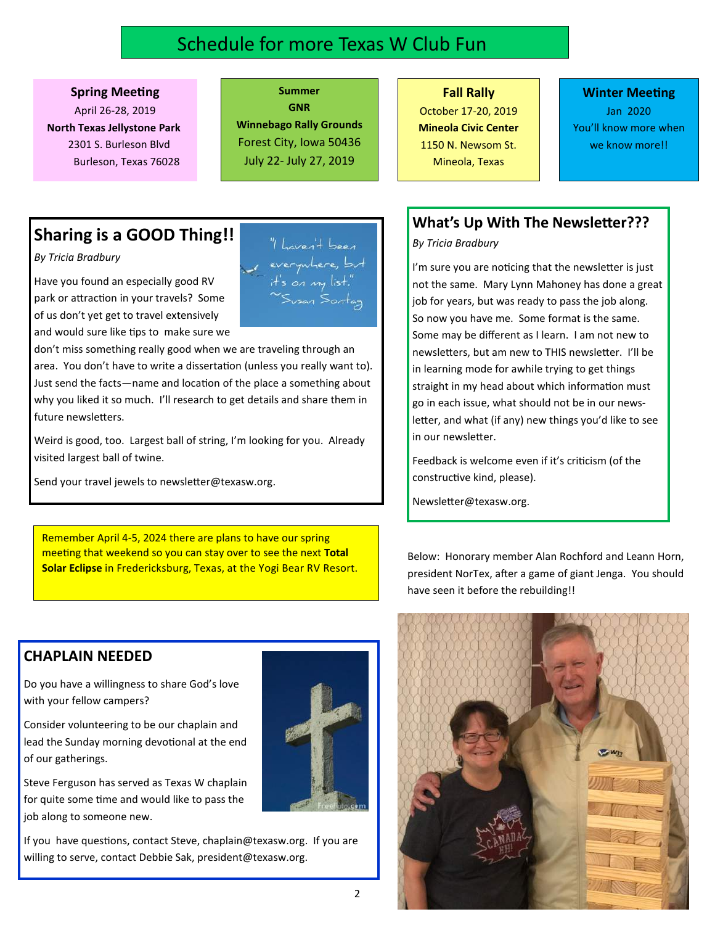# Schedule for more Texas W Club Fun

#### **Spring Meeting**

April 26-28, 2019  **North Texas Jellystone Park**  2301 S. Burleson Blvd Burleson, Texas 76028

**GNR Winnebago Rally Grounds**  Forest City, Iowa 50436 July 22- July 27, 2019

**Summer** 

### **Fall Rally** October 17-20, 2019 **Mineola Civic Center**  1150 N. Newsom St.

Mineola, Texas

#### **Winter Meeting** Jan 2020 You'll know more when we know more!!

# **Sharing is a GOOD Thing!!**

*By Tricia Bradbury* 

Have you found an especially good RV park or attraction in your travels? Some of us don't yet get to travel extensively and would sure like tips to make sure we

don't miss something really good when we are traveling through an area. You don't have to write a dissertation (unless you really want to). Just send the facts—name and location of the place a something about why you liked it so much. I'll research to get details and share them in future newsletters.

Weird is good, too. Largest ball of string, I'm looking for you. Already visited largest ball of twine.

Send your travel jewels to newsletter@texasw.org.

Remember April 4-5, 2024 there are plans to have our spring meeting that weekend so you can stay over to see the next Total **Solar Eclipse** in Fredericksburg, Texas, at the Yogi Bear RV Resort.

**What's Up With The Newsletter???** *By Tricia Bradbury* 

> I'm sure you are noticing that the newsletter is just not the same. Mary Lynn Mahoney has done a great job for years, but was ready to pass the job along. So now you have me. Some format is the same. Some may be different as I learn. I am not new to newsletters, but am new to THIS newsletter. I'll be in learning mode for awhile trying to get things straight in my head about which information must go in each issue, what should not be in our newsletter, and what (if any) new things you'd like to see in our newsletter.

Feedback is welcome even if it's criticism (of the constructive kind, please).

Newsletter@texasw.org.

Below: Honorary member Alan Rochford and Leann Horn, president NorTex, after a game of giant Jenga. You should have seen it before the rebuilding!!

### **CHAPLAIN NEEDED**

Do you have a willingness to share God's love with your fellow campers?

Consider volunteering to be our chaplain and lead the Sunday morning devotional at the end of our gatherings.

Steve Ferguson has served as Texas W chaplain for quite some time and would like to pass the job along to someone new.

If you have questions, contact Steve, chaplain@texasw.org. If you are willing to serve, contact Debbie Sak, president@texasw.org.





everywhere, b.  $H_s$  on my list.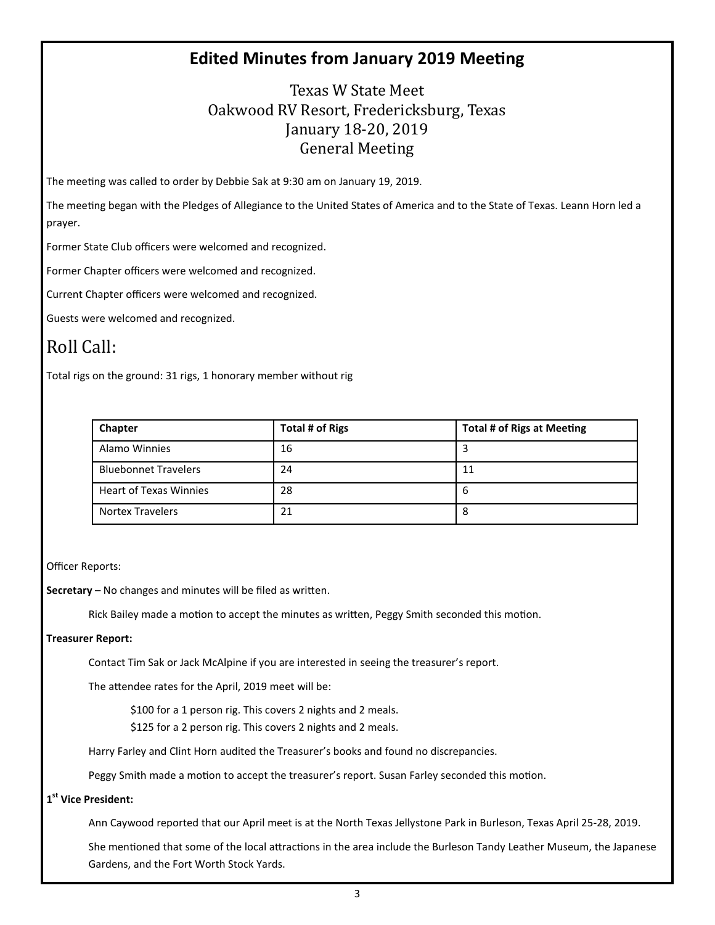## **Edited Minutes from January 2019 Meeting**

Texas W State Meet Oakwood RV Resort, Fredericksburg, Texas January 18-20, 2019 General Meeting 

The meeting was called to order by Debbie Sak at 9:30 am on January 19, 2019.

The meeting began with the Pledges of Allegiance to the United States of America and to the State of Texas. Leann Horn led a prayer.

Former State Club officers were welcomed and recognized.

Former Chapter officers were welcomed and recognized.

Current Chapter officers were welcomed and recognized.

Guests were welcomed and recognized.

# Roll Call:

Total rigs on the ground: 31 rigs, 1 honorary member without rig

| Chapter                       | <b>Total # of Rigs</b> | <b>Total # of Rigs at Meeting</b> |
|-------------------------------|------------------------|-----------------------------------|
| Alamo Winnies                 | 16                     |                                   |
| <b>Bluebonnet Travelers</b>   | 24                     | 11                                |
| <b>Heart of Texas Winnies</b> | 28                     | b                                 |
| <b>Nortex Travelers</b>       | 21                     | 8                                 |

Officer Reports:

**Secretary** – No changes and minutes will be filed as written.

Rick Bailey made a motion to accept the minutes as written, Peggy Smith seconded this motion.

#### **Treasurer Report:**

Contact Tim Sak or Jack McAlpine if you are interested in seeing the treasurer's report.

The attendee rates for the April, 2019 meet will be:

\$100 for a 1 person rig. This covers 2 nights and 2 meals.

\$125 for a 2 person rig. This covers 2 nights and 2 meals.

Harry Farley and Clint Horn audited the Treasurer's books and found no discrepancies.

Peggy Smith made a motion to accept the treasurer's report. Susan Farley seconded this motion.

#### **1 st Vice President:**

Ann Caywood reported that our April meet is at the North Texas Jellystone Park in Burleson, Texas April 25-28, 2019.

She mentioned that some of the local attractions in the area include the Burleson Tandy Leather Museum, the Japanese Gardens, and the Fort Worth Stock Yards.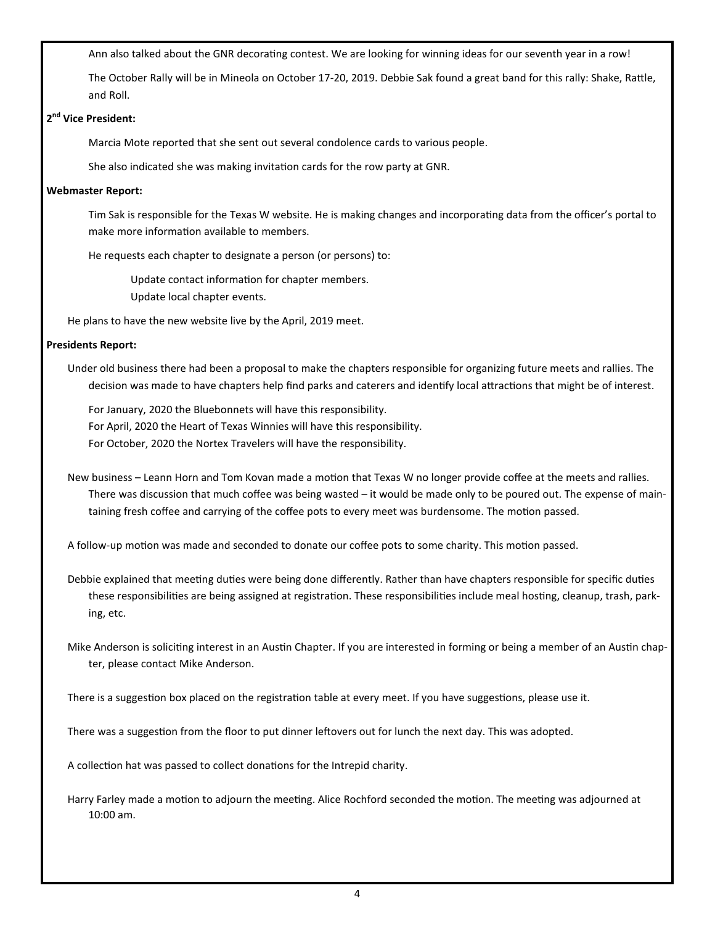Ann also talked about the GNR decorating contest. We are looking for winning ideas for our seventh year in a row!

The October Rally will be in Mineola on October 17-20, 2019. Debbie Sak found a great band for this rally: Shake, Rattle, and Roll.

#### **2 nd Vice President:**

Marcia Mote reported that she sent out several condolence cards to various people.

She also indicated she was making invitation cards for the row party at GNR.

#### **Webmaster Report:**

Tim Sak is responsible for the Texas W website. He is making changes and incorporating data from the officer's portal to make more information available to members.

He requests each chapter to designate a person (or persons) to:

Update contact information for chapter members. Update local chapter events.

He plans to have the new website live by the April, 2019 meet.

#### **Presidents Report:**

Under old business there had been a proposal to make the chapters responsible for organizing future meets and rallies. The decision was made to have chapters help find parks and caterers and identify local attractions that might be of interest.

 For January, 2020 the Bluebonnets will have this responsibility. For April, 2020 the Heart of Texas Winnies will have this responsibility. For October, 2020 the Nortex Travelers will have the responsibility.

New business – Leann Horn and Tom Kovan made a motion that Texas W no longer provide coffee at the meets and rallies. There was discussion that much coffee was being wasted – it would be made only to be poured out. The expense of maintaining fresh coffee and carrying of the coffee pots to every meet was burdensome. The motion passed.

A follow-up motion was made and seconded to donate our coffee pots to some charity. This motion passed.

Debbie explained that meeting duties were being done differently. Rather than have chapters responsible for specific duties these responsibilities are being assigned at registration. These responsibilities include meal hosting, cleanup, trash, parking, etc.

Mike Anderson is soliciting interest in an Austin Chapter. If you are interested in forming or being a member of an Austin chapter, please contact Mike Anderson.

There is a suggestion box placed on the registration table at every meet. If you have suggestions, please use it.

There was a suggestion from the floor to put dinner leftovers out for lunch the next day. This was adopted.

A collection hat was passed to collect donations for the Intrepid charity.

Harry Farley made a motion to adjourn the meeting. Alice Rochford seconded the motion. The meeting was adjourned at 10:00 am.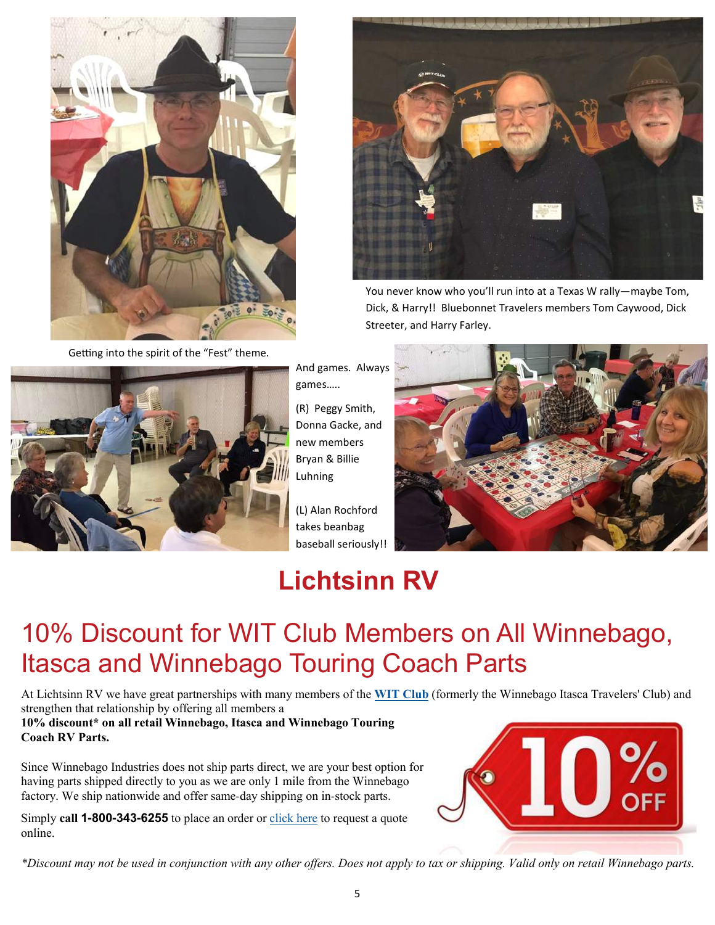

Getting into the spirit of the "Fest" theme.



You never know who you'll run into at a Texas W rally—maybe Tom, Dick, & Harry!! Bluebonnet Travelers members Tom Caywood, Dick Streeter, and Harry Farley.



And games. Always games…..

(R) Peggy Smith, Donna Gacke, and new members Bryan & Billie Luhning

(L) Alan Rochford takes beanbag baseball seriously!!



# **Lichtsinn RV**

# 10% Discount for WIT Club Members on All Winnebago, Itasca and Winnebago Touring Coach Parts

At Lichtsinn RV we have great partnerships with many members of the **WIT Club** (formerly the Winnebago Itasca Travelers' Club) and strengthen that relationship by offering all members a

**10% discount\* on all retail Winnebago, Itasca and Winnebago Touring Coach RV Parts.**

Since Winnebago Industries does not ship parts direct, we are your best option for having parts shipped directly to you as we are only 1 mile from the Winnebago factory. We ship nationwide and offer same-day shipping on in-stock parts.

Simply **call 1-800-343-6255** to place an order or click here to request a quote online.



*\*Discount may not be used in conjunction with any other offers. Does not apply to tax or shipping. Valid only on retail Winnebago parts.*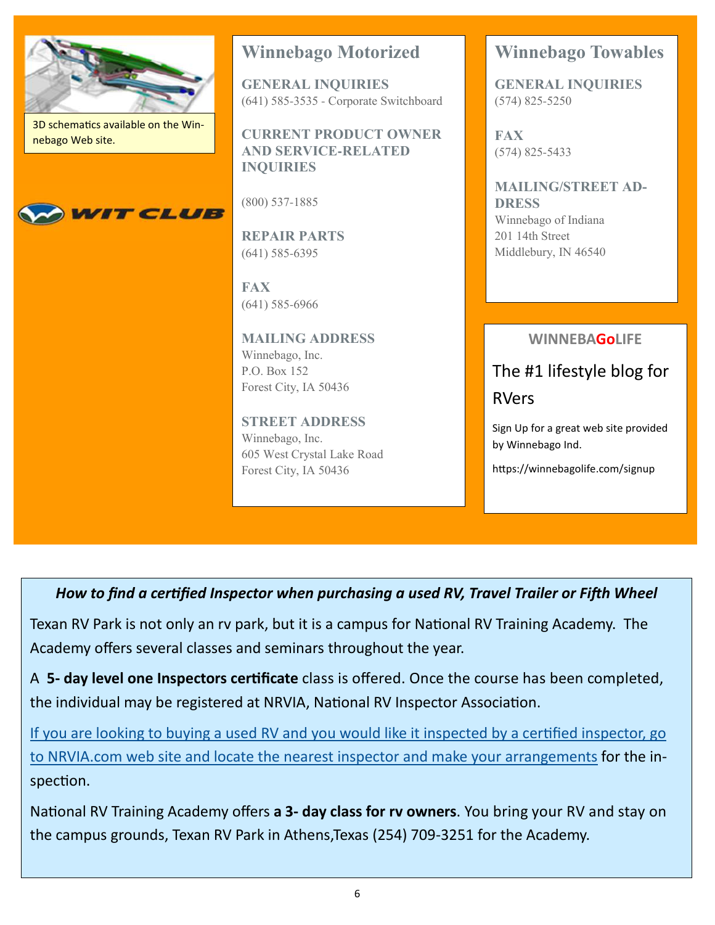

3D schematics available on the Winnebago Web site.



# **Winnebago Motorized**

**GENERAL INQUIRIES** (641) 585-3535 - Corporate Switchboard

**CURRENT PRODUCT OWNER AND SERVICE-RELATED INQUIRIES**

(800) 537-1885

**REPAIR PARTS** (641) 585-6395

**FAX** (641) 585-6966

**MAILING ADDRESS** Winnebago, Inc. P.O. Box 152 Forest City, IA 50436

**STREET ADDRESS** Winnebago, Inc. 605 West Crystal Lake Road Forest City, IA 50436

# **Winnebago Towables**

**GENERAL INQUIRIES** (574) 825-5250

**FAX** (574) 825-5433

**MAILING/STREET AD-DRESS** Winnebago of Indiana 201 14th Street Middlebury, IN 46540

### **WINNEBAGoLIFE**

The #1 lifestyle blog for RVers

Sign Up for a great web site provided by Winnebago Ind.

https://winnebagolife.com/signup

*How to find a certified Inspector when purchasing a used RV, Travel Trailer or Fifth Wheel* 

Texan RV Park is not only an ry park, but it is a campus for National RV Training Academy. The Academy offers several classes and seminars throughout the year.

A 5- day level one Inspectors certificate class is offered. Once the course has been completed, the individual may be registered at NRVIA, National RV Inspector Association.

If you are looking to buying a used RV and you would like it inspected by a certified inspector, go to NRVIA.com web site and locate the nearest inspector and make your arrangements for the inspection.

National RV Training Academy offers **a 3- day class for rv owners**. You bring your RV and stay on the campus grounds, Texan RV Park in Athens,Texas (254) 709-3251 for the Academy.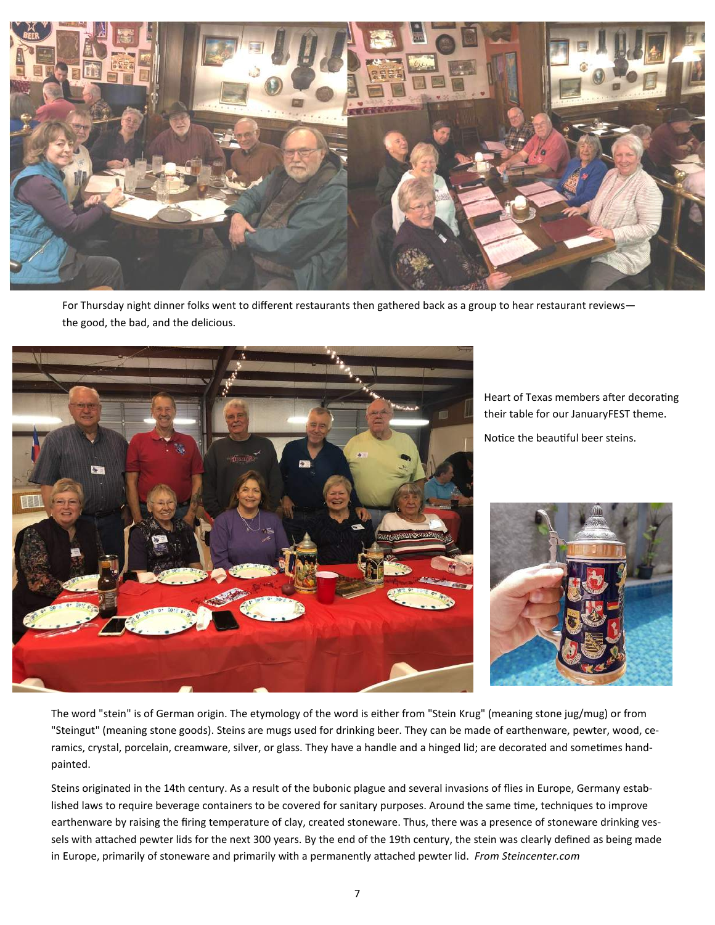

For Thursday night dinner folks went to different restaurants then gathered back as a group to hear restaurant reviews the good, the bad, and the delicious.



Heart of Texas members after decorating their table for our JanuaryFEST theme.

Notice the beautiful beer steins.



The word "stein" is of German origin. The etymology of the word is either from "Stein Krug" (meaning stone jug/mug) or from "Steingut" (meaning stone goods). Steins are mugs used for drinking beer. They can be made of earthenware, pewter, wood, ceramics, crystal, porcelain, creamware, silver, or glass. They have a handle and a hinged lid; are decorated and sometimes handpainted.

Steins originated in the 14th century. As a result of the bubonic plague and several invasions of flies in Europe, Germany established laws to require beverage containers to be covered for sanitary purposes. Around the same time, techniques to improve earthenware by raising the firing temperature of clay, created stoneware. Thus, there was a presence of stoneware drinking vessels with attached pewter lids for the next 300 years. By the end of the 19th century, the stein was clearly defined as being made in Europe, primarily of stoneware and primarily with a permanently attached pewter lid. *From Steincenter.com*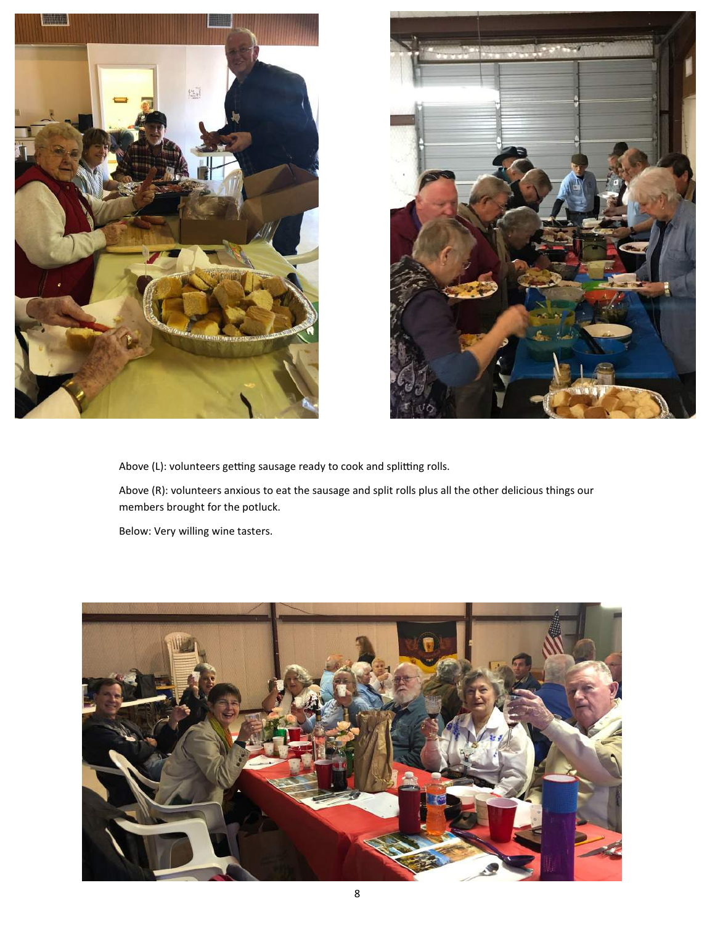



Above (L): volunteers getting sausage ready to cook and splitting rolls.

Above (R): volunteers anxious to eat the sausage and split rolls plus all the other delicious things our members brought for the potluck.

Below: Very willing wine tasters.

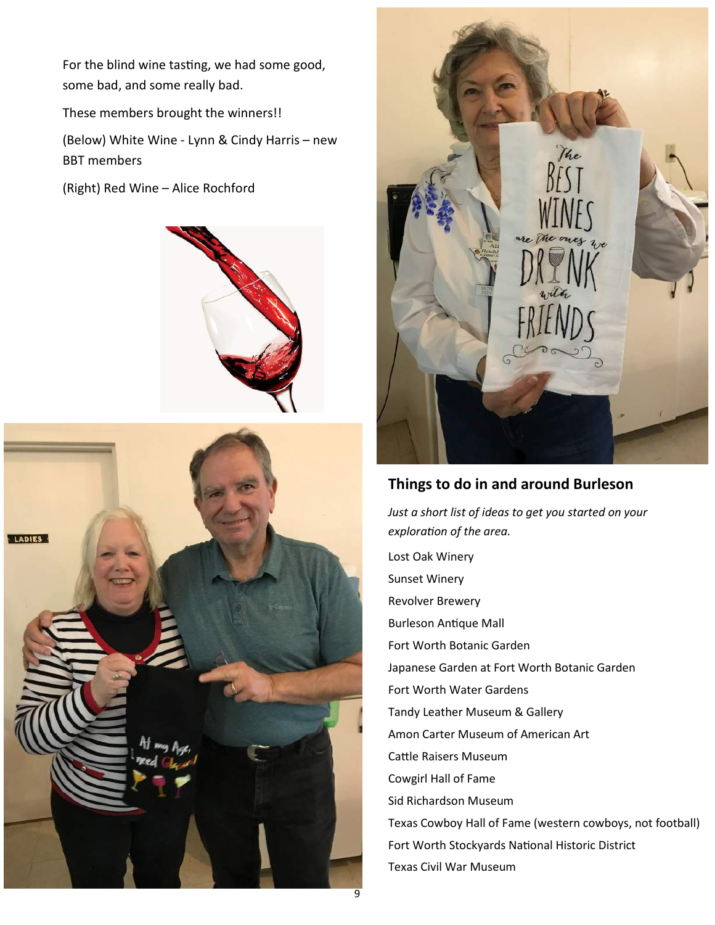For the blind wine tasting, we had some good, some bad, and some really bad.

These members brought the winners!!

(Below) White Wine - Lynn & Cindy Harris – new BBT members

(Right) Red Wine – Alice Rochford







## **Things to do in and around Burleson**

*Just a short list of ideas to get you started on your exploration of the area.* 

Lost Oak Winery Sunset Winery Revolver Brewery **Burleson Antique Mall** Fort Worth Botanic Garden Japanese Garden at Fort Worth Botanic Garden Fort Worth Water Gardens Tandy Leather Museum & Gallery Amon Carter Museum of American Art Cattle Raisers Museum Cowgirl Hall of Fame Sid Richardson Museum Texas Cowboy Hall of Fame (western cowboys, not football) Fort Worth Stockyards National Historic District Texas Civil War Museum